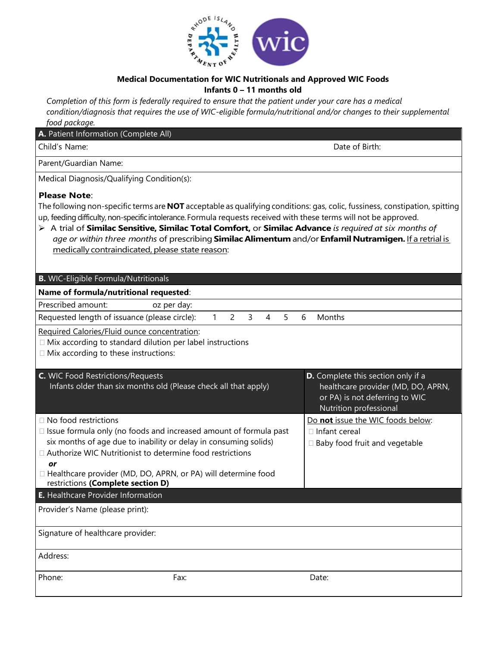

## **Medical Documentation for WIC Nutritionals and Approved WIC Foods Infants 0 – 11 months old**

*Completion of this form is federally required to ensure that the patient under your care has a medical condition/diagnosis that requires the use of WIC-eligible formula/nutritional and/or changes to their supplemental food package.*

## **A.** Patient Information (Complete All) Child's Name: Date of Birth: Parent/Guardian Name: Medical Diagnosis/Qualifying Condition(s): **Please Note**: The following non-specific terms are **NOT** acceptable as qualifying conditions: gas, colic, fussiness, constipation, spitting up, feeding difficulty, non-specific intolerance. Formula requests received with these terms will not be approved. ➢ A trial of **Similac Sensitive, Similac Total Comfort,** or **Similac Advance** *is required at six months of age or within three months* of prescribing **SimilacAlimentum** and/or **EnfamilNutramigen.** If a retrial is medically contraindicated, please state reason: **B.** WIC-Eligible Formula/Nutritionals **Name of formula/nutritional requested**: Prescribed amount: oz per day: Requested length of issuance (please circle): 1 2 3 4 5 6 Months Required Calories/Fluid ounce concentration:  $\Box$  Mix according to standard dilution per label instructions  $\Box$  Mix according to these instructions: **C.** WIC Food Restrictions/Requests Infants older than six months old (Please check all that apply) **D.** Complete this section only if a healthcare provider (MD, DO, APRN, or PA) is not deferring to WIC Nutrition professional □ No food restrictions  $\Box$  Issue formula only (no foods and increased amount of formula past six months of age due to inability or delay in consuming solids) Authorize WIC Nutritionist to determine food restrictions *or* □ Healthcare provider (MD, DO, APRN, or PA) will determine food restrictions **(Complete section D)** Do **not** issue the WIC foods below: □ Infant cereal  $\square$  Baby food fruit and vegetable **E.** Healthcare Provider Information Provider's Name (please print): Signature of healthcare provider: Address: Phone: Fax: Date: